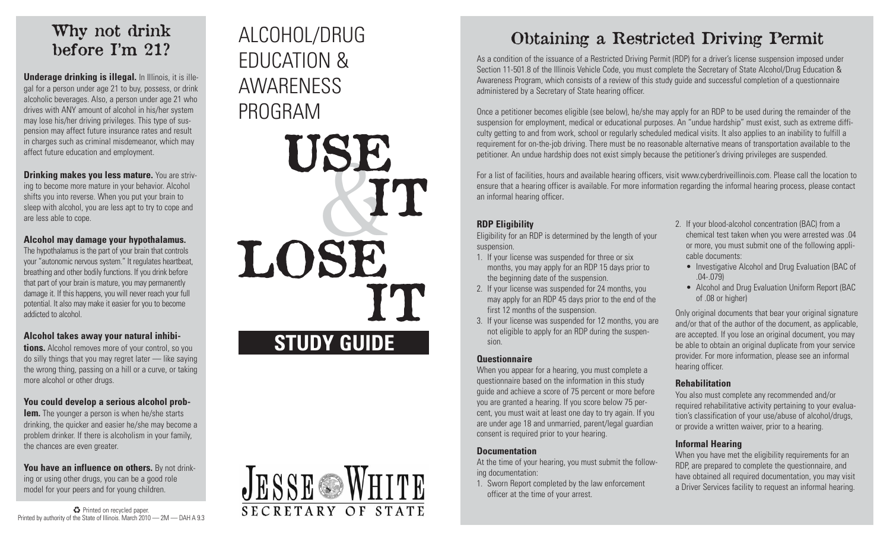# Why not drink before I'm 21?

**Underage drinking is illegal.** In Illinois, it is illegal for a person under age 21 to buy, possess, or drink alcoholic beverages. Also, a person under age 21 who drives with ANY amount of alcohol in his/her system may lose his/her driving privileges. This type of suspension may affect future insurance rates and result in charges such as criminal misdemeanor, which may affect future education and employment.

**Drinking makes you less mature.** You are striving to become more mature in your behavior. Alcohol shifts you into reverse. When you put your brain to sleep with alcohol, you are less apt to try to cope and are less able to cope.

#### **Alcohol may damage your hypothalamus.**

The hypothalamus is the part of your brain that controls your "autonomic nervous system." It regulates heartbeat, breathing and other bodily functions. If you drink before that part of your brain is mature, you may permanently damage it. If this happens, you will never reach your full potential. It also may make it easier for you to become addicted to alcohol.

### **Alcohol takes away your natural inhibi-**

**tions.** Alcohol removes more of your control, so you do silly things that you may regret later — like saying the wrong thing, passing on a hill or a curve, or taking more alcohol or other drugs.

#### **You could develop a serious alcohol prob-**

**lem.** The younger a person is when he/she starts drinking, the quicker and easier he/she may become a problem drinker. If there is alcoholism in your family, the chances are even greater.

**You have an influence on others.** By not drinking or using other drugs, you can be a good role model for your peers and for young children.

♻ Printed on recycled paper. Printed by authority of the State of Illinois. March 2010 — 2M — DAH A 9.3

# EDUCATION & AWARENESS PROGRAM





# ALCOHOL/DRUG Obtaining a Restricted Driving Permit

As a condition of the issuance of a Restricted Driving Permit (RDP) for a driver's license suspension imposed under Section 11-501.8 of the Illinois Vehicle Code, you must complete the Secretary of State Alcohol/Drug Education & Awareness Program, which consists of a review of this study guide and successful completion of a questionnaire administered by a Secretary of State hearing officer.

Once a petitioner becomes eligible (see below), he/she may apply for an RDP to be used during the remainder of the suspension for employment, medical or educational purposes. An "undue hardship" must exist, such as extreme difficulty getting to and from work, school or regularly scheduled medical visits. It also applies to an inability to fulfill a requirement for on-the-job driving. There must be no reasonable alternative means of transportation available to the petitioner. An undue hardship does not exist simply because the petitioner's driving privileges are suspended.

For a list of facilities, hours and available hearing officers, visit www.cyberdriveillinois.com. Please call the location to ensure that a hearing officer is available. For more information regarding the informal hearing process, please contact an informal hearing officer.

suspension.

- 1. If your license was suspended for three or six months, you may apply for an RDP 15 days prior to the beginning date of the suspension.
- 2. If your license was suspended for 24 months, you may apply for an RDP 45 days prior to the end of the first 12 months of the suspension.
- 3. If your license was suspended for 12 months, you are not eligible to apply for an RDP during the suspension.

#### **Questionnaire**

When you appear for a hearing, you must complete a questionnaire based on the information in this study guide and achieve a score of 75 percent or more before you are granted a hearing. If you score below 75 percent, you must wait at least one day to try again. If you are under age 18 and unmarried, parent/legal guardian consent is required prior to your hearing.

#### **Documentation**

At the time of your hearing, you must submit the following documentation:

1. Sworn Report completed by the law enforcement officer at the time of your arrest.

- 2. If your blood-alcohol concentration (BAC) from a chemical test taken when you were arrested was .04 or more, you must submit one of the following applicable documents:
	- Investigative Alcohol and Drug Evaluation (BAC of  $(04 - 079)$
	- Alcohol and Drug Evaluation Uniform Report (BAC of .08 or higher)

Only original documents that bear your original signature and/or that of the author of the document, as applicable, are accepted. If you lose an original document, you may be able to obtain an original duplicate from your service provider. For more information, please see an informal hearing officer.

#### **Rehabilitation**

You also must complete any recommended and/or required rehabilitative activity pertaining to your evaluation's classification of your use/abuse of alcohol/drugs, or provide a written waiver, prior to a hearing.

#### **Informal Hearing**

When you have met the eligibility requirements for an RDP, are prepared to complete the questionnaire, and have obtained all required documentation, you may visit a Driver Services facility to request an informal hearing.